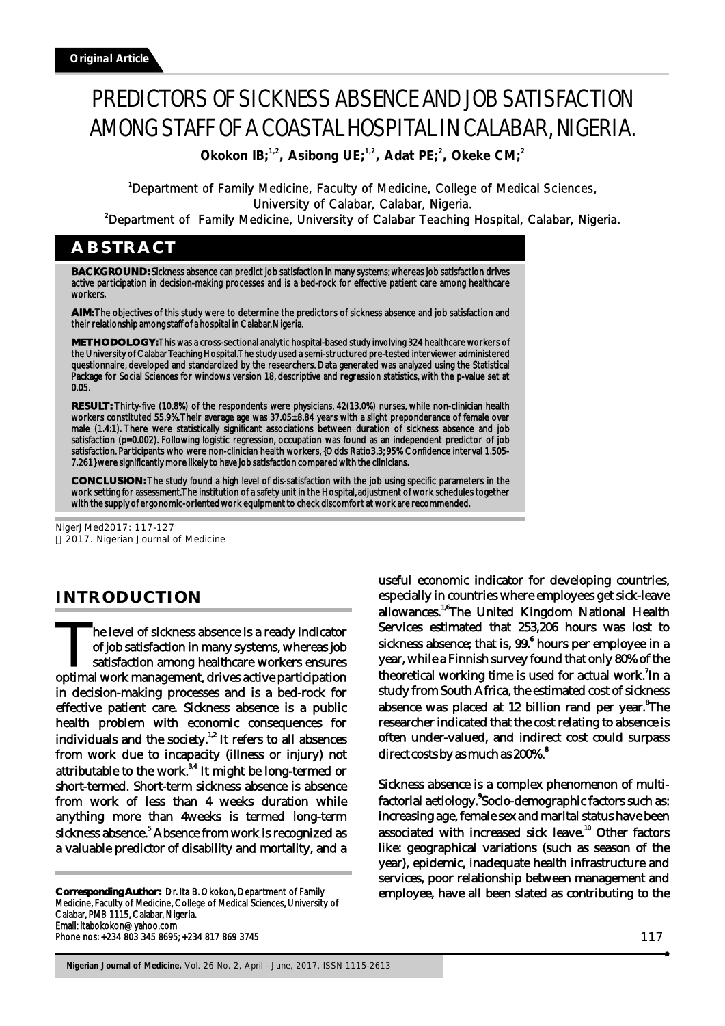# PREDICTORS OF SICKNESS ABSENCE AND JOB SATISFACTION AMONG STAFF OF A COASTAL HOSPITAL IN CALABAR, NIGERIA.

**1,2 1,2 <sup>2</sup> <sup>2</sup> Okokon IB; , Asibong UE; , Adat PE; , Okeke CM;**

<sup>1</sup>Department of Family Medicine, Faculty of Medicine, College of Medical Sciences, University of Calabar, Calabar, Nigeria.

<sup>2</sup>Department of Family Medicine, University of Calabar Teaching Hospital, Calabar, Nigeria.

# **ABSTRACT**

**BACKGROUND:** Sickness absence can predict job satisfaction in many systems; whereas job satisfaction drives active participation in decision-making processes and is a bed-rock for effective patient care among healthcare workers.

**AIM:** The objectives of this study were to determine the predictors of sickness absence and job satisfaction and their relationship among staff of a hospital in Calabar, Nigeria.

**METHODOLOGY:** This was a cross-sectional analytic hospital-based study involving 324 healthcare workers of the University of Calabar Teaching Hospital. The study used a semi-structured pre-tested interviewer administered questionnaire, developed and standardized by the researchers. Data generated was analyzed using the Statistical Package for Social Sciences for windows version 18, descriptive and regression statistics, with the p-value set at 0.05.

**RESULT:** Thirty-five (10.8%) of the respondents were physicians, 42(13.0%) nurses, while non-clinician health workers constituted 55.9%. Their average age was 37.05±8.84 years with a slight preponderance of female over male (1.4:1). There were statistically significant associations between duration of sickness absence and job satisfaction (p=0.002). Following logistic regression, occupation was found as an independent predictor of job satisfaction. Participants who were non-clinician health workers, {Odds Ratio3.3; 95% Confidence interval 1.505- 7.261} were significantly more likely to have job satisfaction compared with the clinicians.

**CONCLUSION:** The study found a high level of dis-satisfaction with the job using specific parameters in the work setting for assessment. The institution of a safety unit in the Hospital, adjustment of work schedules together with the supply of ergonomic-oriented work equipment to check discomfort at work are recommended.

NigerJMed2017: 117-127 2017. Nigerian Journal of Medicine

# **INTRODUCTION**

The level of sickness absence is a ready indicator<br>of job satisfaction in many systems, whereas job The level of sickness absence is a ready indicator<br>of job satisfaction in many systems, whereas job<br>satisfaction among healthcare workers ensures<br>optimal work management, drives active participation in decision-making processes and is a bed-rock for effective patient care. Sickness absence is a public health problem with economic consequences for individuals and the society.<sup>1,2</sup> It refers to all absences from work due to incapacity (illness or injury) not attributable to the work. $34$  It might be long-termed or short-termed. Short-term sickness absence is absence from work of less than 4 weeks duration while anything more than 4weeks is termed long-term sickness absence.<sup>5</sup> Absence from work is recognized as a valuable predictor of disability and mortality, and a

**Corresponding Author:** Dr. Ita B. Okokon, Department of Family Medicine, Faculty of Medicine, College of Medical Sciences, University of Calabar, PMB 1115, Calabar, Nigeria. Email: itabokokon@yahoo.com Phone nos: +234 803 345 8695; +234 817 869 3745

useful economic indicator for developing countries, especially in countries where employees get sick-leave allowances.<sup>1,6</sup> The United Kingdom National Health Services estimated that 253,206 hours was lost to sickness absence; that is, 99.<sup>6</sup> hours per employee in a year, while a Finnish survey found that only 80% of the theoretical working time is used for actual work.<sup>7</sup>In a study from South Africa, the estimated cost of sickness absence was placed at 12 billion rand per year.<sup>8</sup>The researcher indicated that the cost relating to absence is often under-valued, and indirect cost could surpass direct costs by as much as 200%.<sup>8</sup>

Sickness absence is a complex phenomenon of multifactorial aetiology. Socio-demographic factors such as: increasing age, female sex and marital status have been associated with increased sick leave.<sup>10</sup> Other factors like: geographical variations (such as season of the year), epidemic, inadequate health infrastructure and services, poor relationship between management and employee, have all been slated as contributing to the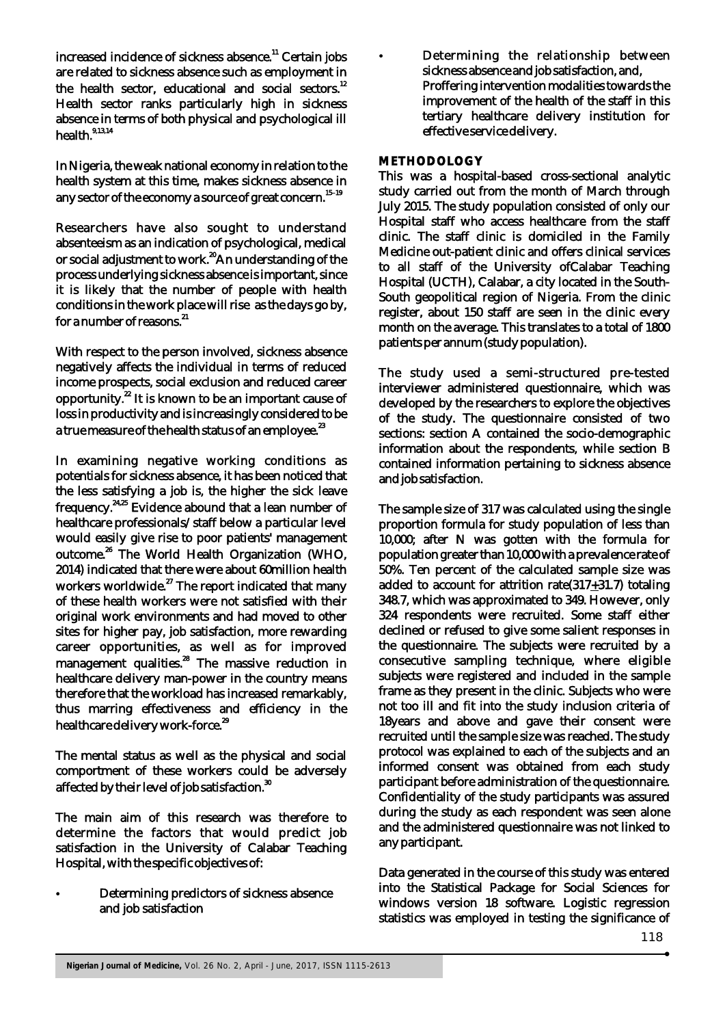increased incidence of sickness absence.<sup>11</sup> Certain jobs are related to sickness absence such as employment in the health sector, educational and social sectors. $12$ Health sector ranks particularly high in sickness absence in terms of both physical and psychological ill health.<sup>9,13,14</sup>

In Nigeria, the weak national economy in relation to the health system at this time, makes sickness absence in any sector of the economy a source of great concern.<sup>15–19</sup>

Researchers have also sought to understand absenteeism as an indication of psychological, medical or social adjustment to work.<sup>20</sup>An understanding of the process underlying sickness absence is important, since it is likely that the number of people with health conditions in the work place will rise as the days go by, for a number of reasons.<sup>21</sup>

With respect to the person involved, sickness absence negatively affects the individual in terms of reduced income prospects, social exclusion and reduced career opportunity. $^{22}$  It is known to be an important cause of loss in productivity and is increasingly considered to be a true measure of the health status of an employee.<sup>23</sup>

In examining negative working conditions as potentials for sickness absence, it has been noticed that the less satisfying a job is, the higher the sick leave frequency.<sup>24,25</sup> Evidence abound that a lean number of healthcare professionals/staff below a particular level would easily give rise to poor patients' management outcome.<sup>26</sup> The World Health Organization (WHO, 2014) indicated that there were about 60million health  $271$ , matched that  $27$  The report indicated that many of these health workers were not satisfied with their original work environments and had moved to other sites for higher pay, job satisfaction, more rewarding career opportunities, as well as for improved management qualities.<sup>28</sup> The massive reduction in healthcare delivery man-power in the country means therefore that the workload has increased remarkably, thus marring effectiveness and efficiency in the healthcare delivery work-force.<sup>29</sup>

The mental status as well as the physical and social comportment of these workers could be adversely affected by their level of job satisfaction.<sup>30</sup>

The main aim of this research was therefore to determine the factors that would predict job satisfaction in the University of Calabar Teaching Hospital, with the specific objectives of:

? Determining predictors of sickness absence and job satisfaction

Determining the relationship between sickness absence and job satisfaction, and, Proffering intervention modalities towards the improvement of the health of the staff in this tertiary healthcare delivery institution for effective service delivery.

## **METHODOLOGY**

This was a hospital-based cross-sectional analytic study carried out from the month of March through July 2015. The study population consisted of only our Hospital staff who access healthcare from the staff clinic. The staff clinic is domiciled in the Family Medicine out-patient clinic and offers clinical services to all staff of the University ofCalabar Teaching Hospital (UCTH), Calabar, a city located in the South-South geopolitical region of Nigeria. From the clinic register, about 150 staff are seen in the clinic every month on the average. This translates to a total of 1800 patients per annum (study population).

The study used a semi-structured pre-tested interviewer administered questionnaire, which was developed by the researchers to explore the objectives of the study. The questionnaire consisted of two sections: section A contained the socio-demographic information about the respondents, while section B contained information pertaining to sickness absence and job satisfaction.

The sample size of 317 was calculated using the single proportion formula for study population of less than 10,000; after N was gotten with the formula for population greater than 10,000 with a prevalence rate of 50%. Ten percent of the calculated sample size was added to account for attrition rate $(317+31.7)$  totaling 348.7, which was approximated to 349. However, only 324 respondents were recruited. Some staff either declined or refused to give some salient responses in the questionnaire. The subjects were recruited by a consecutive sampling technique, where eligible subjects were registered and included in the sample frame as they present in the clinic. Subjects who were not too ill and fit into the study inclusion criteria of 18years and above and gave their consent were recruited until the sample size was reached. The study protocol was explained to each of the subjects and an informed consent was obtained from each study participant before administration of the questionnaire. Confidentiality of the study participants was assured during the study as each respondent was seen alone and the administered questionnaire was not linked to any participant.

Data generated in the course of this study was entered into the Statistical Package for Social Sciences for windows version 18 software. Logistic regression statistics was employed in testing the significance of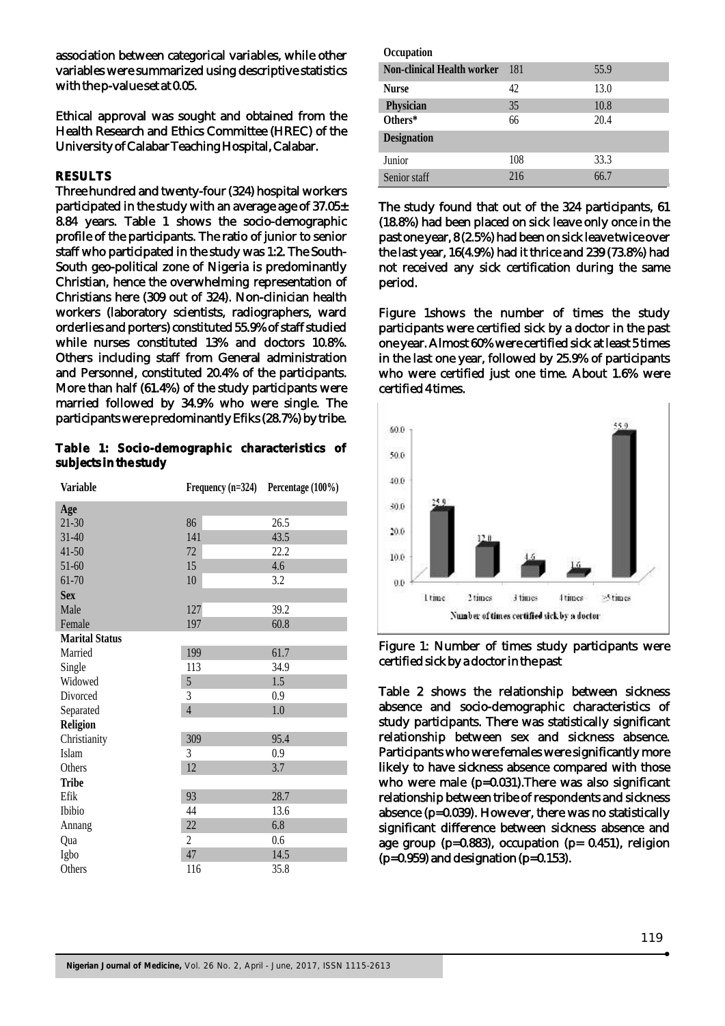association between categorical variables, while other variables were summarized using descriptive statistics with the p-value set at 0.05.

Ethical approval was sought and obtained from the Health Research and Ethics Committee (HREC) of the University of Calabar Teaching Hospital, Calabar.

#### **RESULTS**

Three hundred and twenty-four (324) hospital workers participated in the study with an average age of 37.05± 8.84 years. Table 1 shows the socio-demographic profile of the participants. The ratio of junior to senior staff who participated in the study was 1:2. The South-South geo-political zone of Nigeria is predominantly Christian, hence the overwhelming representation of Christians here (309 out of 324). Non-clinician health workers (laboratory scientists, radiographers, ward orderlies and porters) constituted 55.9% of staff studied while nurses constituted 13% and doctors 10.8%. Others including staff from General administration and Personnel, constituted 20.4% of the participants. More than half (61.4%) of the study participants were married followed by 34.9% who were single. The participants were predominantly Efiks (28.7%) by tribe.

**Table 1: Socio-demographic characteristics of subjects in the study**

| <b>Variable</b>       | Frequency $(n=324)$ | Percentage (100%) |
|-----------------------|---------------------|-------------------|
| Age                   |                     |                   |
| $21 - 30$             | 86                  | 26.5              |
| $31 - 40$             | 141                 | 43.5              |
| $41 - 50$             | 72                  | 22.2              |
| $51 - 60$             | 15                  | 4.6               |
| 61-70                 | 10                  | 3.2               |
| <b>Sex</b>            |                     |                   |
| Male                  | 127                 | 39.2              |
| Female                | 197                 | 60.8              |
| <b>Marital Status</b> |                     |                   |
| Married               | 199                 | 61.7              |
| Single                | 113                 | 34.9              |
| Widowed               | 5                   | 1.5               |
| Divorced              | 3                   | 0.9               |
| Separated             | $\overline{4}$      | 1.0               |
| <b>Religion</b>       |                     |                   |
| Christianity          | 309                 | 95.4              |
| Islam                 | 3                   | 0.9               |
| Others                | 12                  | 3.7               |
| <b>Tribe</b>          |                     |                   |
| Efik                  | 93                  | 28.7              |
| Ibibio                | 44                  | 13.6              |
| Annang                | 22                  | 6.8               |
| Qua                   | 2                   | 0.6               |
| Igbo                  | 47                  | 14.5              |
| Others                | 116                 | 35.8              |

| Occupation                        |     |      |
|-----------------------------------|-----|------|
| <b>Non-clinical Health worker</b> | 181 | 55.9 |
| <b>Nurse</b>                      | 42  | 13.0 |
| Physician                         | 35  | 10.8 |
| Others*                           | 66  | 20.4 |
| <b>Designation</b>                |     |      |
| Junior                            | 108 | 33.3 |
| Senior staff                      | 216 | 66.7 |

The study found that out of the 324 participants, 61 (18.8%) had been placed on sick leave only once in the past one year, 8 (2.5%) had been on sick leave twice over the last year, 16(4.9%) had it thrice and 239 (73.8%) had not received any sick certification during the same period.

Figure 1shows the number of times the study participants were certified sick by a doctor in the past one year. Almost 60% were certified sick at least 5 times in the last one year, followed by 25.9% of participants who were certified just one time. About 1.6% were certified 4 times.



Figure 1: Number of times study participants were certified sick by a doctor in the past

Table 2 shows the relationship between sickness absence and socio-demographic characteristics of study participants. There was statistically significant relationship between sex and sickness absence. Participants who were females were significantly more likely to have sickness absence compared with those who were male (p=0.031). There was also significant relationship between tribe of respondents and sickness absence (p=0.039). However, there was no statistically significant difference between sickness absence and age group (p=0.883), occupation (p= 0.451), religion  $(p=0.959)$  and designation  $(p=0.153)$ .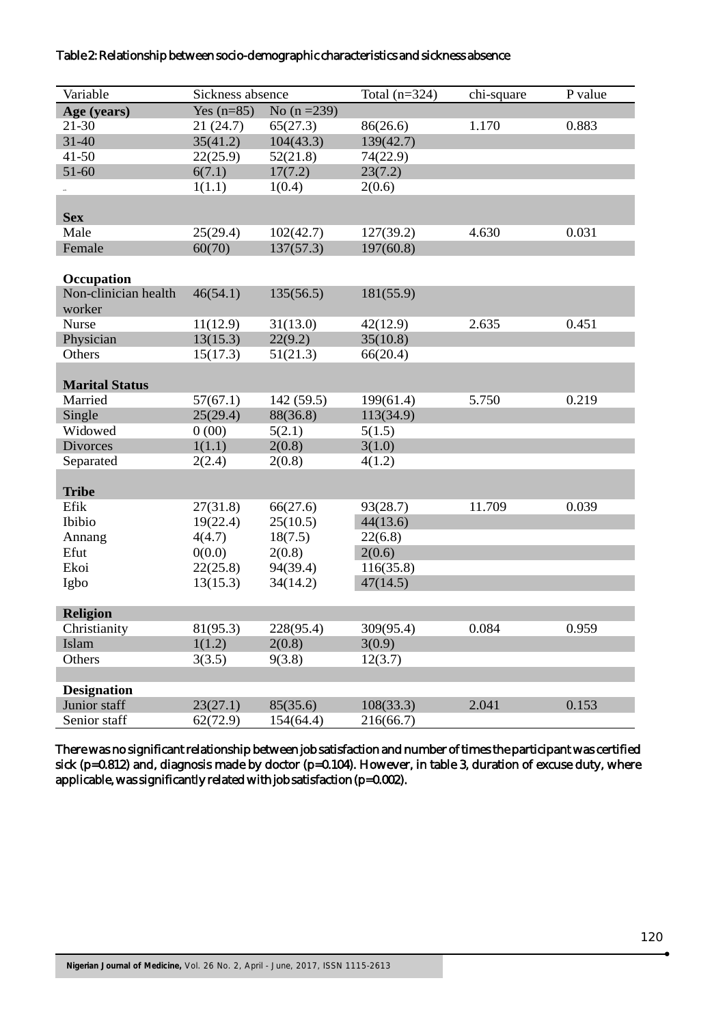## Table 2: Relationship between socio-demographic characteristics and sickness absence

| Variable              | Sickness absence |                | Total $(n=324)$ | chi-square | P value |
|-----------------------|------------------|----------------|-----------------|------------|---------|
| Age (years)           | Yes $(n=85)$     | No $(n = 239)$ |                 |            |         |
| $21 - 30$             | 21(24.7)         | 65(27.3)       | 86(26.6)        | 1.170      | 0.883   |
| $31 - 40$             | 35(41.2)         | 104(43.3)      | 139(42.7)       |            |         |
| $41 - 50$             | 22(25.9)         | 52(21.8)       | 74(22.9)        |            |         |
| 51-60                 | 6(7.1)           | 17(7.2)        | 23(7.2)         |            |         |
|                       | 1(1.1)           | 1(0.4)         | 2(0.6)          |            |         |
|                       |                  |                |                 |            |         |
| <b>Sex</b>            |                  |                |                 |            |         |
| Male                  | 25(29.4)         | 102(42.7)      | 127(39.2)       | 4.630      | 0.031   |
| Female                | 60(70)           | 137(57.3)      | 197(60.8)       |            |         |
|                       |                  |                |                 |            |         |
| Occupation            |                  |                |                 |            |         |
| Non-clinician health  | 46(54.1)         | 135(56.5)      | 181(55.9)       |            |         |
| worker                |                  |                |                 |            |         |
| Nurse                 | 11(12.9)         | 31(13.0)       | 42(12.9)        | 2.635      | 0.451   |
| Physician             | 13(15.3)         | 22(9.2)        | 35(10.8)        |            |         |
| Others                | 15(17.3)         | 51(21.3)       | 66(20.4)        |            |         |
|                       |                  |                |                 |            |         |
| <b>Marital Status</b> |                  |                |                 |            |         |
| Married               | 57(67.1)         | 142(59.5)      | 199(61.4)       | 5.750      | 0.219   |
| Single                | 25(29.4)         | 88(36.8)       | 113(34.9)       |            |         |
| Widowed               | 0(00)            | 5(2.1)         | 5(1.5)          |            |         |
| <b>Divorces</b>       | 1(1.1)           | 2(0.8)         | 3(1.0)          |            |         |
| Separated             | 2(2.4)           | 2(0.8)         | 4(1.2)          |            |         |
|                       |                  |                |                 |            |         |
| <b>Tribe</b>          |                  |                |                 |            |         |
| Efik                  | 27(31.8)         | 66(27.6)       | 93(28.7)        | 11.709     | 0.039   |
| Ibibio                | 19(22.4)         | 25(10.5)       | 44(13.6)        |            |         |
| Annang                | 4(4.7)           | 18(7.5)        | 22(6.8)         |            |         |
| Efut                  | 0(0.0)           | 2(0.8)         | 2(0.6)          |            |         |
| Ekoi                  | 22(25.8)         | 94(39.4)       | 116(35.8)       |            |         |
| Igbo                  | 13(15.3)         | 34(14.2)       | 47(14.5)        |            |         |
|                       |                  |                |                 |            |         |
| <b>Religion</b>       |                  |                |                 |            |         |
| Christianity          | 81(95.3)         | 228(95.4)      | 309(95.4)       | 0.084      | 0.959   |
| Islam                 | 1(1.2)           | 2(0.8)         | 3(0.9)          |            |         |
| Others                | 3(3.5)           | 9(3.8)         | 12(3.7)         |            |         |
|                       |                  |                |                 |            |         |
| <b>Designation</b>    |                  |                |                 |            |         |
| Junior staff          | 23(27.1)         | 85(35.6)       | 108(33.3)       | 2.041      | 0.153   |
| Senior staff          | 62(72.9)         | 154(64.4)      | 216(66.7)       |            |         |

There was no significant relationship between job satisfaction and number of times the participant was certified sick (p=0.812) and, diagnosis made by doctor (p=0.104). However, in table 3, duration of excuse duty, where applicable, was significantly related with job satisfaction (p=0.002).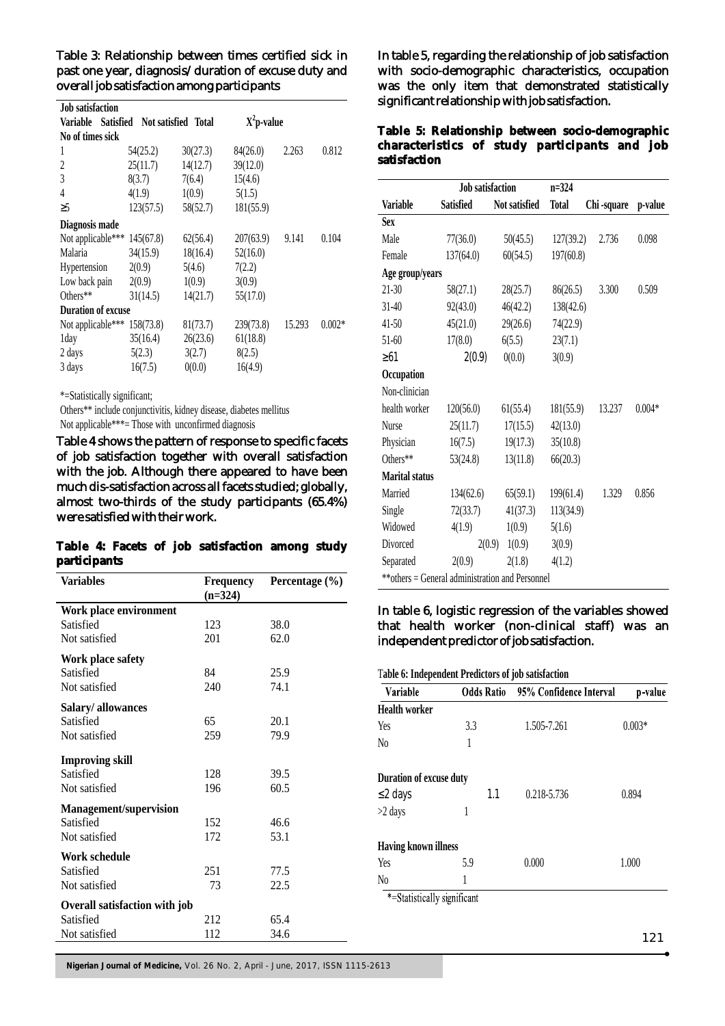Table 3: Relationship between times certified sick in past one year, diagnosis/duration of excuse duty and overall job satisfaction among participants

| <b>Job satisfaction</b>   |                            |          |               |        |          |
|---------------------------|----------------------------|----------|---------------|--------|----------|
| Variable<br>Satisfied     | <b>Not satisfied Total</b> |          | $X^2$ p-value |        |          |
| No of times sick          |                            |          |               |        |          |
| 1                         | 54(25.2)                   | 30(27.3) | 84(26.0)      | 2.263  | 0.812    |
| 2                         | 25(11.7)                   | 14(12.7) | 39(12.0)      |        |          |
| 3                         | 8(3.7)                     | 7(6.4)   | 15(4.6)       |        |          |
| 4                         | 4(1.9)                     | 1(0.9)   | 5(1.5)        |        |          |
| 5                         | 123(57.5)                  | 58(52.7) | 181(55.9)     |        |          |
| Diagnosis made            |                            |          |               |        |          |
| Not applicable***         | 145(67.8)                  | 62(56.4) | 207(63.9)     | 9.141  | 0.104    |
| Malaria                   | 34(15.9)                   | 18(16.4) | 52(16.0)      |        |          |
| Hypertension              | 2(0.9)                     | 5(4.6)   | 7(2.2)        |        |          |
| Low back pain             | 2(0.9)                     | 1(0.9)   | 3(0.9)        |        |          |
| Others**                  | 31(14.5)                   | 14(21.7) | 55(17.0)      |        |          |
| <b>Duration of excuse</b> |                            |          |               |        |          |
| Not applicable***         | 158(73.8)                  | 81(73.7) | 239(73.8)     | 15.293 | $0.002*$ |
| 1day                      | 35(16.4)                   | 26(23.6) | 61(18.8)      |        |          |
| 2 days                    | 5(2.3)                     | 3(2.7)   | 8(2.5)        |        |          |
| 3 days                    | 16(7.5)                    | 0(0.0)   | 16(4.9)       |        |          |

\*=Statistically significant;

Others\*\* include conjunctivitis, kidney disease, diabetes mellitus Not applicable\*\*\*= Those with unconfirmed diagnosis

Table 4 shows the pattern of response to specific facets of job satisfaction together with overall satisfaction with the job. Although there appeared to have been much dis-satisfaction across all facets studied; globally, almost two-thirds of the study participants (65.4%) were satisfied with their work.

|              |  |  | Table 4: Facets of job satisfaction among study |  |
|--------------|--|--|-------------------------------------------------|--|
| participants |  |  |                                                 |  |

| Variables                     | <b>Frequency</b><br>$(n=324)$ | Percentage (%) |
|-------------------------------|-------------------------------|----------------|
| Work place environment        |                               |                |
| Satisfied                     | 123                           | 38.0           |
| Not satisfied                 | 201                           | 62.0           |
| Work place safety             |                               |                |
| Satisfied                     | 84                            | 25.9           |
| Not satisfied                 | 240                           | 74.1           |
| Salary/allowances             |                               |                |
| Satisfied                     | 65                            | 20.1           |
| Not satisfied                 | 259                           | 79.9           |
| <b>Improving skill</b>        |                               |                |
| Satisfied                     | 128                           | 39.5           |
| Not satisfied                 | 196                           | 60.5           |
| <b>Management/supervision</b> |                               |                |
| Satisfied                     | 152                           | 46.6           |
| Not satisfied                 | 172                           | 53.1           |
| Work schedule                 |                               |                |
| Satisfied                     | 251                           | 77.5           |
| Not satisfied                 | 73                            | 22.5           |
| Overall satisfaction with job |                               |                |
| Satisfied                     | 212                           | 65.4           |
| Not satisfied                 | 112                           | 34.6           |

In table 5, regarding the relationship of job satisfaction with socio-demographic characteristics, occupation was the only item that demonstrated statistically significant relationship with job satisfaction.

**Table 5: Relationship between socio-demographic characteristics of study participants and job satisfaction**

|                       | <b>Job satisfaction</b>                         |               | $n = 324$    |            |          |
|-----------------------|-------------------------------------------------|---------------|--------------|------------|----------|
| <b>Variable</b>       | <b>Satisfied</b>                                | Not satisfied | <b>Total</b> | Chi-square | p-value  |
| <b>Sex</b>            |                                                 |               |              |            |          |
| Male                  | 77(36.0)                                        | 50(45.5)      | 127(39.2)    | 2.736      | 0.098    |
| Female                | 137(64.0)                                       | 60(54.5)      | 197(60.8)    |            |          |
| Age group/years       |                                                 |               |              |            |          |
| $21 - 30$             | 58(27.1)                                        | 28(25.7)      | 86(26.5)     | 3.300      | 0.509    |
| $31 - 40$             | 92(43.0)                                        | 46(42.2)      | 138(42.6)    |            |          |
| $41 - 50$             | 45(21.0)                                        | 29(26.6)      | 74(22.9)     |            |          |
| $51-60$               | 17(8.0)                                         | 6(5.5)        | 23(7.1)      |            |          |
| 61                    | 2(0.9)                                          | 0(0.0)        | 3(0.9)       |            |          |
| Occupation            |                                                 |               |              |            |          |
| Non-clinician         |                                                 |               |              |            |          |
| health worker         | 120(56.0)                                       | 61(55.4)      | 181(55.9)    | 13.237     | $0.004*$ |
| Nurse                 | 25(11.7)                                        | 17(15.5)      | 42(13.0)     |            |          |
| Physician             | 16(7.5)                                         | 19(17.3)      | 35(10.8)     |            |          |
| Others**              | 53(24.8)                                        | 13(11.8)      | 66(20.3)     |            |          |
| <b>Marital status</b> |                                                 |               |              |            |          |
| Married               | 134(62.6)                                       | 65(59.1)      | 199(61.4)    | 1.329      | 0.856    |
| Single                | 72(33.7)                                        | 41(37.3)      | 113(34.9)    |            |          |
| Widowed               | 4(1.9)                                          | 1(0.9)        | 5(1.6)       |            |          |
| Divorced              | 2(0.9)                                          | 1(0.9)        | 3(0.9)       |            |          |
| Separated             | 2(0.9)                                          | 2(1.8)        | 4(1.2)       |            |          |
|                       | **others = General administration and Personnel |               |              |            |          |

# In table 6, logistic regression of the variables showed that health worker (non-clinical staff) was an independent predictor of job satisfaction.

| Table 6: Independent Predictors of job satisfaction |     |                                           |          |  |  |
|-----------------------------------------------------|-----|-------------------------------------------|----------|--|--|
| Variable                                            |     | <b>Odds Ratio</b> 95% Confidence Interval | p-value  |  |  |
| <b>Health worker</b>                                |     |                                           |          |  |  |
| Yes                                                 | 3.3 | 1.505-7.261                               | $0.003*$ |  |  |
| N <sub>0</sub>                                      | 1   |                                           |          |  |  |
| Duration of excuse duty                             |     |                                           |          |  |  |
| 2 days                                              | 1.1 | 0.218-5.736                               | 0.894    |  |  |
| $>2$ days                                           |     |                                           |          |  |  |
| <b>Having known illness</b>                         |     |                                           |          |  |  |
| Yes                                                 | 5.9 | 0.000                                     | 1.000    |  |  |
| N <sub>0</sub>                                      | 1   |                                           |          |  |  |
| *=Statistically significant                         |     |                                           |          |  |  |

-Statistically significant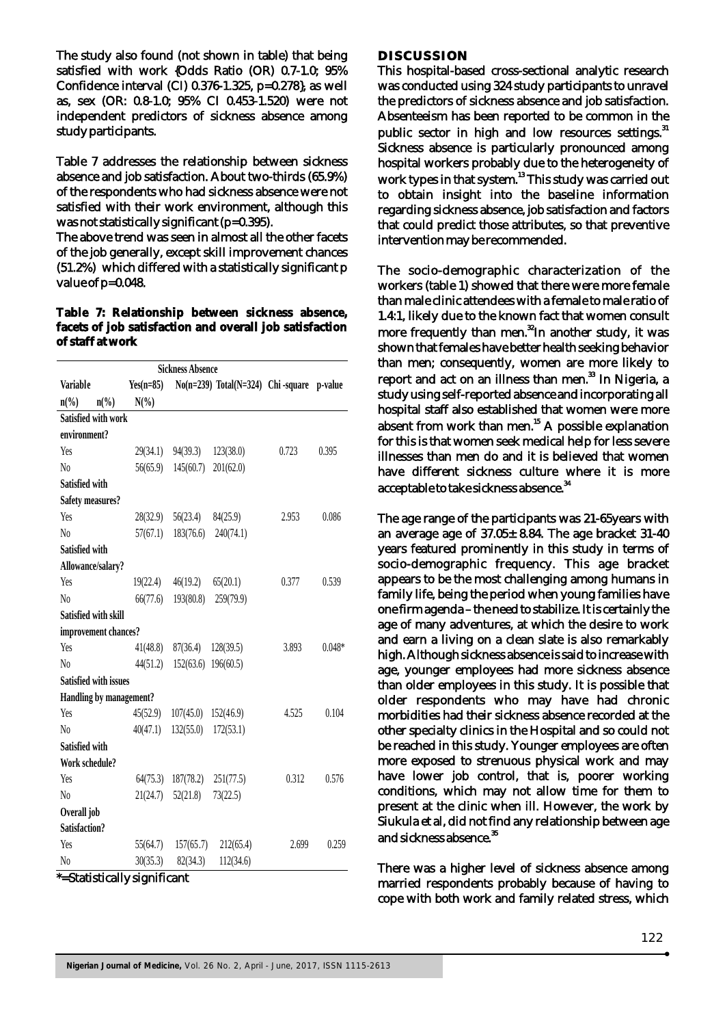The study also found (not shown in table) that being satisfied with work {Odds Ratio (OR) 0.7-1.0; 95% Confidence interval (CI) 0.376-1.325, p=0.278}, as well as, sex (OR: 0.8-1.0; 95% CI 0.453-1.520) were not independent predictors of sickness absence among study participants.

Table 7 addresses the relationship between sickness absence and job satisfaction. About two-thirds (65.9%) of the respondents who had sickness absence were not satisfied with their work environment, although this was not statistically significant (p=0.395).

The above trend was seen in almost all the other facets of the job generally, except skill improvement chances (51.2%) which differed with a statistically significant p value of p=0.048.

**Table 7: Relationship between sickness absence, facets of job satisfaction and overall job satisfaction of staff at work**

| $Yes(n=85)$<br>No(n=239) Total(N=324) Chi-square p-value<br><b>Variable</b><br>$N(\%)$<br>$n\binom{0}{0}$<br>$n\binom{0}{0}$<br>Satisfied with work<br>environment?<br>29(34.1)<br>94(39.3)<br>123(38.0)<br>0.395<br>Yes<br>0.723<br>$\rm N_0$<br>56(65.9)<br>145(60.7)<br>201(62.0)<br>Satisfied with<br><b>Safety measures?</b><br>Yes<br>0.086<br>28(32.9)<br>56(23.4)<br>84(25.9)<br>2.953<br>$\rm N_0$<br>57(67.1)<br>183(76.6)<br>240(74.1)<br>Satisfied with<br>Allowance/salary?<br>65(20.1)<br>Yes<br>19(22.4)<br>46(19.2)<br>0.377<br>0.539<br>193(80.8)<br>259(79.9)<br>N <sub>0</sub><br>66(77.6)<br>Satisfied with skill<br>improvement chances?<br>Yes<br>3.893<br>$0.048*$<br>41(48.8)<br>87(36.4)<br>128(39.5)<br>$\rm N_0$<br>44(51.2)<br>152(63.6)<br>196(60.5)<br><b>Satisfied with issues</b><br>Handling by management?<br>45(52.9)<br>152(46.9)<br>4.525<br>0.104<br>Yes<br>107(45.0)<br>$\rm No$<br>40(47.1)<br>132(55.0)<br>172(53.1)<br>Satisfied with<br>Work schedule?<br>0.312<br>251(77.5)<br>0.576<br>Yes<br>64(75.3)<br>187(78.2)<br>52(21.8)<br>$\rm N_0$<br>21(24.7)<br>73(22.5)<br>Overall job<br>Satisfaction?<br>Yes<br>55(64.7)<br>157(65.7)<br>212(65.4)<br>0.259<br>2.699 | <b>Sickness Absence</b> |  |          |          |           |  |  |
|------------------------------------------------------------------------------------------------------------------------------------------------------------------------------------------------------------------------------------------------------------------------------------------------------------------------------------------------------------------------------------------------------------------------------------------------------------------------------------------------------------------------------------------------------------------------------------------------------------------------------------------------------------------------------------------------------------------------------------------------------------------------------------------------------------------------------------------------------------------------------------------------------------------------------------------------------------------------------------------------------------------------------------------------------------------------------------------------------------------------------------------------------------------------------------------------------------------|-------------------------|--|----------|----------|-----------|--|--|
|                                                                                                                                                                                                                                                                                                                                                                                                                                                                                                                                                                                                                                                                                                                                                                                                                                                                                                                                                                                                                                                                                                                                                                                                                  |                         |  |          |          |           |  |  |
|                                                                                                                                                                                                                                                                                                                                                                                                                                                                                                                                                                                                                                                                                                                                                                                                                                                                                                                                                                                                                                                                                                                                                                                                                  |                         |  |          |          |           |  |  |
|                                                                                                                                                                                                                                                                                                                                                                                                                                                                                                                                                                                                                                                                                                                                                                                                                                                                                                                                                                                                                                                                                                                                                                                                                  |                         |  |          |          |           |  |  |
|                                                                                                                                                                                                                                                                                                                                                                                                                                                                                                                                                                                                                                                                                                                                                                                                                                                                                                                                                                                                                                                                                                                                                                                                                  |                         |  |          |          |           |  |  |
|                                                                                                                                                                                                                                                                                                                                                                                                                                                                                                                                                                                                                                                                                                                                                                                                                                                                                                                                                                                                                                                                                                                                                                                                                  |                         |  |          |          |           |  |  |
|                                                                                                                                                                                                                                                                                                                                                                                                                                                                                                                                                                                                                                                                                                                                                                                                                                                                                                                                                                                                                                                                                                                                                                                                                  |                         |  |          |          |           |  |  |
|                                                                                                                                                                                                                                                                                                                                                                                                                                                                                                                                                                                                                                                                                                                                                                                                                                                                                                                                                                                                                                                                                                                                                                                                                  |                         |  |          |          |           |  |  |
|                                                                                                                                                                                                                                                                                                                                                                                                                                                                                                                                                                                                                                                                                                                                                                                                                                                                                                                                                                                                                                                                                                                                                                                                                  |                         |  |          |          |           |  |  |
|                                                                                                                                                                                                                                                                                                                                                                                                                                                                                                                                                                                                                                                                                                                                                                                                                                                                                                                                                                                                                                                                                                                                                                                                                  |                         |  |          |          |           |  |  |
|                                                                                                                                                                                                                                                                                                                                                                                                                                                                                                                                                                                                                                                                                                                                                                                                                                                                                                                                                                                                                                                                                                                                                                                                                  |                         |  |          |          |           |  |  |
|                                                                                                                                                                                                                                                                                                                                                                                                                                                                                                                                                                                                                                                                                                                                                                                                                                                                                                                                                                                                                                                                                                                                                                                                                  |                         |  |          |          |           |  |  |
|                                                                                                                                                                                                                                                                                                                                                                                                                                                                                                                                                                                                                                                                                                                                                                                                                                                                                                                                                                                                                                                                                                                                                                                                                  |                         |  |          |          |           |  |  |
|                                                                                                                                                                                                                                                                                                                                                                                                                                                                                                                                                                                                                                                                                                                                                                                                                                                                                                                                                                                                                                                                                                                                                                                                                  |                         |  |          |          |           |  |  |
|                                                                                                                                                                                                                                                                                                                                                                                                                                                                                                                                                                                                                                                                                                                                                                                                                                                                                                                                                                                                                                                                                                                                                                                                                  |                         |  |          |          |           |  |  |
|                                                                                                                                                                                                                                                                                                                                                                                                                                                                                                                                                                                                                                                                                                                                                                                                                                                                                                                                                                                                                                                                                                                                                                                                                  |                         |  |          |          |           |  |  |
|                                                                                                                                                                                                                                                                                                                                                                                                                                                                                                                                                                                                                                                                                                                                                                                                                                                                                                                                                                                                                                                                                                                                                                                                                  |                         |  |          |          |           |  |  |
|                                                                                                                                                                                                                                                                                                                                                                                                                                                                                                                                                                                                                                                                                                                                                                                                                                                                                                                                                                                                                                                                                                                                                                                                                  |                         |  |          |          |           |  |  |
|                                                                                                                                                                                                                                                                                                                                                                                                                                                                                                                                                                                                                                                                                                                                                                                                                                                                                                                                                                                                                                                                                                                                                                                                                  |                         |  |          |          |           |  |  |
|                                                                                                                                                                                                                                                                                                                                                                                                                                                                                                                                                                                                                                                                                                                                                                                                                                                                                                                                                                                                                                                                                                                                                                                                                  |                         |  |          |          |           |  |  |
|                                                                                                                                                                                                                                                                                                                                                                                                                                                                                                                                                                                                                                                                                                                                                                                                                                                                                                                                                                                                                                                                                                                                                                                                                  |                         |  |          |          |           |  |  |
|                                                                                                                                                                                                                                                                                                                                                                                                                                                                                                                                                                                                                                                                                                                                                                                                                                                                                                                                                                                                                                                                                                                                                                                                                  |                         |  |          |          |           |  |  |
|                                                                                                                                                                                                                                                                                                                                                                                                                                                                                                                                                                                                                                                                                                                                                                                                                                                                                                                                                                                                                                                                                                                                                                                                                  |                         |  |          |          |           |  |  |
|                                                                                                                                                                                                                                                                                                                                                                                                                                                                                                                                                                                                                                                                                                                                                                                                                                                                                                                                                                                                                                                                                                                                                                                                                  |                         |  |          |          |           |  |  |
|                                                                                                                                                                                                                                                                                                                                                                                                                                                                                                                                                                                                                                                                                                                                                                                                                                                                                                                                                                                                                                                                                                                                                                                                                  |                         |  |          |          |           |  |  |
|                                                                                                                                                                                                                                                                                                                                                                                                                                                                                                                                                                                                                                                                                                                                                                                                                                                                                                                                                                                                                                                                                                                                                                                                                  |                         |  |          |          |           |  |  |
|                                                                                                                                                                                                                                                                                                                                                                                                                                                                                                                                                                                                                                                                                                                                                                                                                                                                                                                                                                                                                                                                                                                                                                                                                  |                         |  |          |          |           |  |  |
|                                                                                                                                                                                                                                                                                                                                                                                                                                                                                                                                                                                                                                                                                                                                                                                                                                                                                                                                                                                                                                                                                                                                                                                                                  |                         |  |          |          |           |  |  |
|                                                                                                                                                                                                                                                                                                                                                                                                                                                                                                                                                                                                                                                                                                                                                                                                                                                                                                                                                                                                                                                                                                                                                                                                                  |                         |  |          |          |           |  |  |
|                                                                                                                                                                                                                                                                                                                                                                                                                                                                                                                                                                                                                                                                                                                                                                                                                                                                                                                                                                                                                                                                                                                                                                                                                  |                         |  |          |          |           |  |  |
|                                                                                                                                                                                                                                                                                                                                                                                                                                                                                                                                                                                                                                                                                                                                                                                                                                                                                                                                                                                                                                                                                                                                                                                                                  | No                      |  | 30(35.3) | 82(34.3) | 112(34.6) |  |  |

\*=Statistically significant

#### **DISCUSSION**

This hospital-based cross-sectional analytic research was conducted using 324 study participants to unravel the predictors of sickness absence and job satisfaction. Absenteeism has been reported to be common in the public sector in high and low resources settings.<sup>31</sup> Sickness absence is particularly pronounced among hospital workers probably due to the heterogeneity of work types in that system.<sup>13</sup> This study was carried out to obtain insight into the baseline information regarding sickness absence, job satisfaction and factors that could predict those attributes, so that preventive intervention may be recommended.

The socio-demographic characterization of the workers (table 1) showed that there were more female than male clinic attendees with a female to male ratio of 1.4:1, likely due to the known fact that women consult more frequently than men.<sup>32</sup>In another study, it was shown that females have better health seeking behavior than men; consequently, women are more likely to report and act on an illness than men. $^{33}$  In Nigeria, a study using self-reported absence and incorporating all hospital staff also established that women were more  $\frac{1}{15}$  absent from work than men.<sup>15</sup> A possible explanation for this is that women seek medical help for less severe illnesses than men do and it is believed that women have different sickness culture where it is more acceptable to take sickness absence.<sup>34</sup>

The age range of the participants was 21-65years with an average age of 37.05± 8.84. The age bracket 31-40 years featured prominently in this study in terms of socio-demographic frequency. This age bracket appears to be the most challenging among humans in family life, being the period when young families have one firm agenda – the need to stabilize. It is certainly the age of many adventures, at which the desire to work and earn a living on a clean slate is also remarkably high. Although sickness absence is said to increase with age, younger employees had more sickness absence than older employees in this study. It is possible that older respondents who may have had chronic morbidities had their sickness absence recorded at the other specialty clinics in the Hospital and so could not be reached in this study. Younger employees are often more exposed to strenuous physical work and may have lower job control, that is, poorer working conditions, which may not allow time for them to present at the clinic when ill. However, the work by Siukula et al, did not find any relationship between age and sickness absence.<sup>35</sup>

There was a higher level of sickness absence among married respondents probably because of having to cope with both work and family related stress, which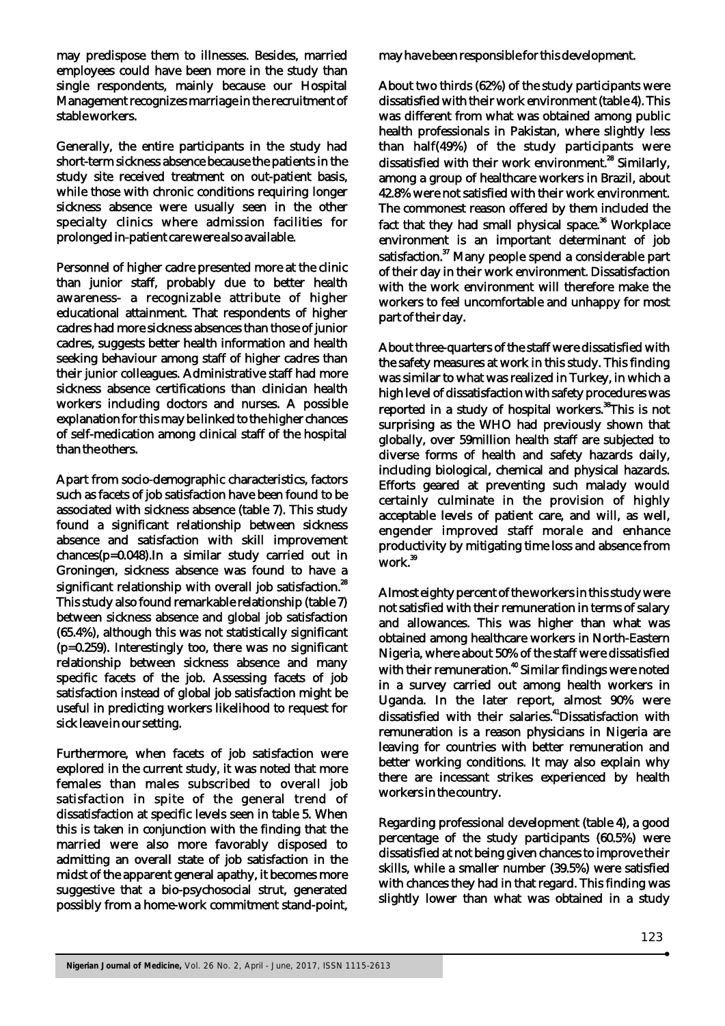may predispose them to illnesses. Besides, married employees could have been more in the study than single respondents, mainly because our Hospital Management recognizes marriage in the recruitment of stable workers.

Generally, the entire participants in the study had short-term sickness absence because the patients in the study site received treatment on out-patient basis, while those with chronic conditions requiring longer sickness absence were usually seen in the other specialty clinics where admission facilities for prolonged in-patient care were also available.

Personnel of higher cadre presented more at the clinic than junior staff, probably due to better health awareness- a recognizable attribute of higher educational attainment. That respondents of higher cadres had more sickness absences than those of junior cadres, suggests better health information and health seeking behaviour among staff of higher cadres than their junior colleagues. Administrative staff had more sickness absence certifications than clinician health workers including doctors and nurses. A possible explanation for this may be linked to the higher chances of self-medication among clinical staff of the hospital than the others.

Apart from socio-demographic characteristics, factors such as facets of job satisfaction have been found to be associated with sickness absence (table 7). This study found a significant relationship between sickness absence and satisfaction with skill improvement chances(p=0.048).In a similar study carried out in Groningen, sickness absence was found to have a significant relationship with overall job satisfaction.<sup>28</sup> This study also found remarkable relationship (table 7) between sickness absence and global job satisfaction (65.4%), although this was not statistically significant (p=0.259). Interestingly too, there was no significant relationship between sickness absence and many specific facets of the job. Assessing facets of job satisfaction instead of global job satisfaction might be useful in predicting workers likelihood to request for sick leave in our setting.

Furthermore, when facets of job satisfaction were explored in the current study, it was noted that more females than males subscribed to overall job satisfaction in spite of the general trend of dissatisfaction at specific levels seen in table 5. When this is taken in conjunction with the finding that the married were also more favorably disposed to admitting an overall state of job satisfaction in the midst of the apparent general apathy, it becomes more suggestive that a bio-psychosocial strut, generated possibly from a home-work commitment stand-point,

may have been responsible for this development.

About two thirds (62%) of the study participants were dissatisfied with their work environment (table 4). This was different from what was obtained among public health professionals in Pakistan, where slightly less than half(49%) of the study participants were dissatisfied with their work environment.<sup>28</sup> Similarly, among a group of healthcare workers in Brazil, about 42.8% were not satisfied with their work environment. The commonest reason offered by them included the fact that they had small physical space.<sup>36</sup> Workplace environment is an important determinant of job satisfaction.<sup>37</sup> Many people spend a considerable part of their day in their work environment. Dissatisfaction with the work environment will therefore make the workers to feel uncomfortable and unhappy for most part of their day.

About three-quarters of the staff were dissatisfied with the safety measures at work in this study. This finding was similar to what was realized in Turkey, in which a high level of dissatisfaction with safety procedures was reported in a study of hospital workers.<sup>38</sup>This is not surprising as the WHO had previously shown that globally, over 59million health staff are subjected to diverse forms of health and safety hazards daily, including biological, chemical and physical hazards. Efforts geared at preventing such malady would certainly culminate in the provision of highly acceptable levels of patient care, and will, as well, engender improved staff morale and enhance productivity by mitigating time loss and absence from <sup>39</sup> work.

Almost eighty percent of the workers in this study were not satisfied with their remuneration in terms of salary and allowances. This was higher than what was obtained among healthcare workers in North-Eastern Nigeria, where about 50% of the staff were dissatisfied with their remuneration.<sup>40</sup> Similar findings were noted in a survey carried out among health workers in Uganda. In the later report, almost 90% were <sup>41</sup> dissatisfied with their salaries. Dissatisfaction with remuneration is a reason physicians in Nigeria are leaving for countries with better remuneration and better working conditions. It may also explain why there are incessant strikes experienced by health workers in the country.

Regarding professional development (table 4), a good percentage of the study participants (60.5%) were dissatisfied at not being given chances to improve their skills, while a smaller number (39.5%) were satisfied with chances they had in that regard. This finding was slightly lower than what was obtained in a study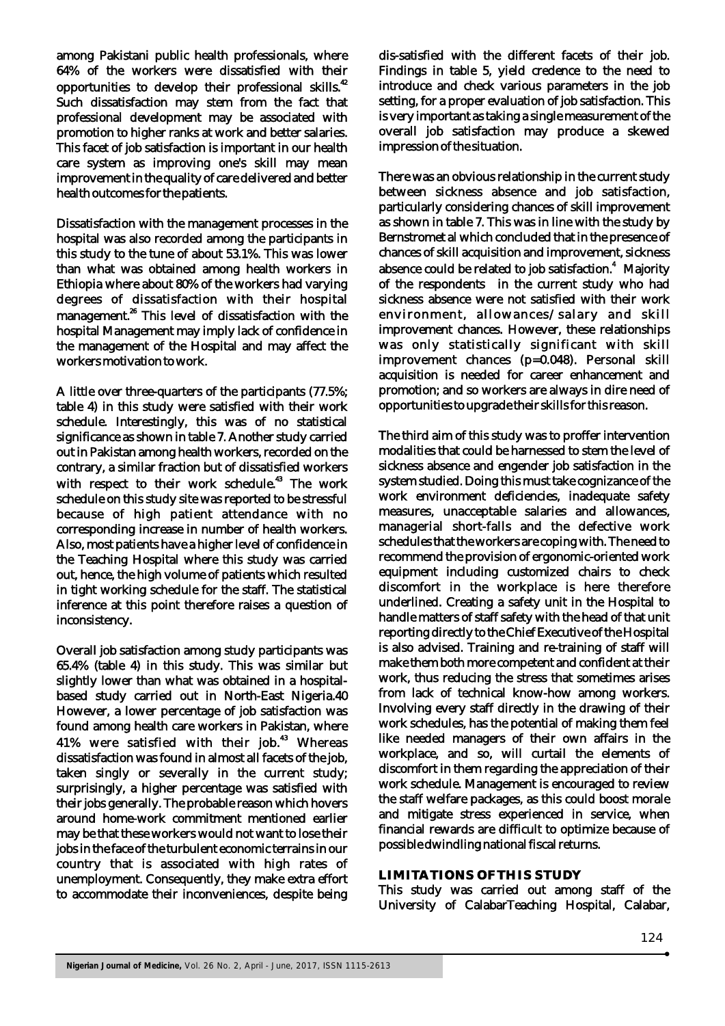among Pakistani public health professionals, where 64% of the workers were dissatisfied with their opportunities to develop their professional skills.<sup>42</sup> Such dissatisfaction may stem from the fact that professional development may be associated with promotion to higher ranks at work and better salaries. This facet of job satisfaction is important in our health care system as improving one's skill may mean improvement in the quality of care delivered and better health outcomes for the patients.

Dissatisfaction with the management processes in the hospital was also recorded among the participants in this study to the tune of about 53.1%. This was lower than what was obtained among health workers in Ethiopia where about 80% of the workers had varying degrees of dissatisfaction with their hospital management.<sup>26</sup> This level of dissatisfaction with the hospital Management may imply lack of confidence in the management of the Hospital and may affect the workers motivation to work.

A little over three-quarters of the participants (77.5%; table 4) in this study were satisfied with their work schedule. Interestingly, this was of no statistical significance as shown in table 7. Another study carried out in Pakistan among health workers, recorded on the contrary, a similar fraction but of dissatisfied workers with respect to their work schedule.<sup>43</sup> The work schedule on this study site was reported to be stressful because of high patient attendance with no corresponding increase in number of health workers. Also, most patients have a higher level of confidence in the Teaching Hospital where this study was carried out, hence, the high volume of patients which resulted in tight working schedule for the staff. The statistical inference at this point therefore raises a question of inconsistency.

Overall job satisfaction among study participants was 65.4% (table 4) in this study. This was similar but slightly lower than what was obtained in a hospitalbased study carried out in North-East Nigeria.40 However, a lower percentage of job satisfaction was found among health care workers in Pakistan, where 41% were satisfied with their job.<sup>43</sup> Whereas dissatisfaction was found in almost all facets of the job, taken singly or severally in the current study; surprisingly, a higher percentage was satisfied with their jobs generally. The probable reason which hovers around home-work commitment mentioned earlier may be that these workers would not want to lose their jobs in the face of the turbulent economic terrains in our country that is associated with high rates of unemployment. Consequently, they make extra effort to accommodate their inconveniences, despite being

dis-satisfied with the different facets of their job. Findings in table 5, yield credence to the need to introduce and check various parameters in the job setting, for a proper evaluation of job satisfaction. This is very important as taking a single measurement of the overall job satisfaction may produce a skewed impression of the situation.

There was an obvious relationship in the current study between sickness absence and job satisfaction, particularly considering chances of skill improvement as shown in table 7. This was in line with the study by Bernstromet al which concluded that in the presence of chances of skill acquisition and improvement, sickness absence could be related to job satisfaction.<sup>4</sup> Majority of the respondents in the current study who had sickness absence were not satisfied with their work environment, allowances/salary and skill improvement chances. However, these relationships was only statistically significant with skill improvement chances (p=0.048). Personal skill acquisition is needed for career enhancement and promotion; and so workers are always in dire need of opportunities to upgrade their skills for this reason.

The third aim of this study was to proffer intervention modalities that could be harnessed to stem the level of sickness absence and engender job satisfaction in the system studied. Doing this must take cognizance of the work environment deficiencies, inadequate safety measures, unacceptable salaries and allowances, managerial short-falls and the defective work schedules that the workers are coping with. The need to recommend the provision of ergonomic-oriented work equipment including customized chairs to check discomfort in the workplace is here therefore underlined. Creating a safety unit in the Hospital to handle matters of staff safety with the head of that unit reporting directly to the Chief Executive of the Hospital is also advised. Training and re-training of staff will make them both more competent and confident at their work, thus reducing the stress that sometimes arises from lack of technical know-how among workers. Involving every staff directly in the drawing of their work schedules, has the potential of making them feel like needed managers of their own affairs in the workplace, and so, will curtail the elements of discomfort in them regarding the appreciation of their work schedule. Management is encouraged to review the staff welfare packages, as this could boost morale and mitigate stress experienced in service, when financial rewards are difficult to optimize because of possible dwindling national fiscal returns.

# **LIMITATIONS OF THIS STUDY**

This study was carried out among staff of the University of CalabarTeaching Hospital, Calabar,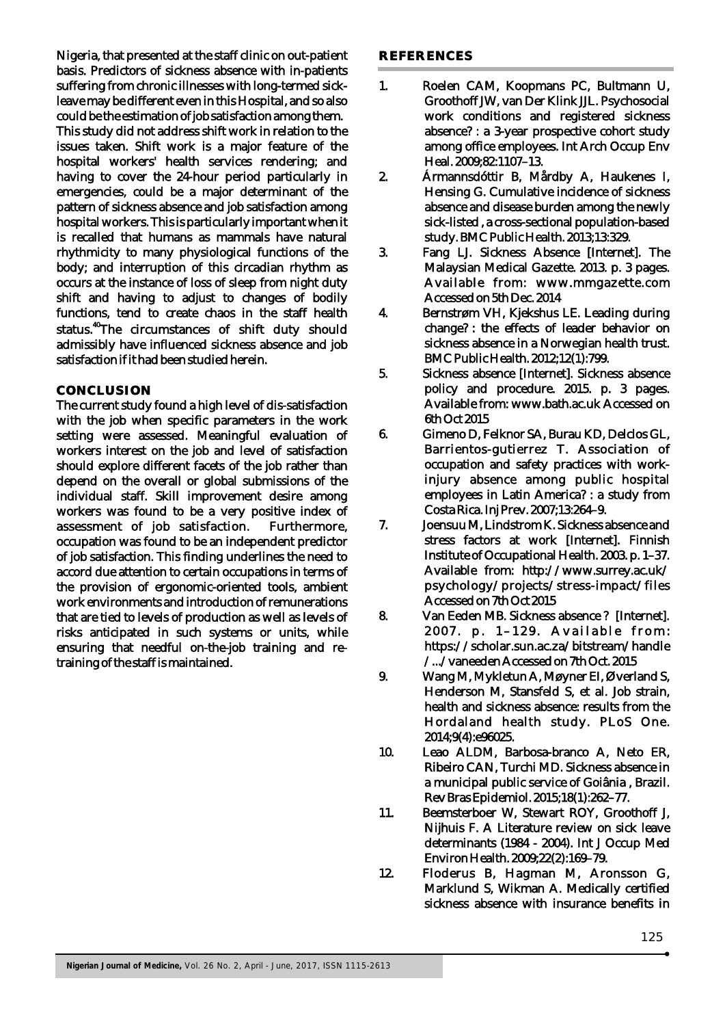Nigeria, that presented at the staff clinic on out-patient basis. Predictors of sickness absence with in-patients suffering from chronic illnesses with long-termed sickleave may be different even in this Hospital, and so also could be the estimation of job satisfaction among them. This study did not address shift work in relation to the issues taken. Shift work is a major feature of the hospital workers' health services rendering; and having to cover the 24-hour period particularly in emergencies, could be a major determinant of the pattern of sickness absence and job satisfaction among hospital workers. This is particularly important when it is recalled that humans as mammals have natural rhythmicity to many physiological functions of the body; and interruption of this circadian rhythm as occurs at the instance of loss of sleep from night duty shift and having to adjust to changes of bodily functions, tend to create chaos in the staff health status.<sup>40</sup>The circumstances of shift duty should admissibly have influenced sickness absence and job satisfaction if it had been studied herein.

### **CONCLUSION**

The current study found a high level of dis-satisfaction with the job when specific parameters in the work setting were assessed. Meaningful evaluation of workers interest on the job and level of satisfaction should explore different facets of the job rather than depend on the overall or global submissions of the individual staff. Skill improvement desire among workers was found to be a very positive index of assessment of job satisfaction. Furthermore, occupation was found to be an independent predictor of job satisfaction. This finding underlines the need to accord due attention to certain occupations in terms of the provision of ergonomic-oriented tools, ambient work environments and introduction of remunerations that are tied to levels of production as well as levels of risks anticipated in such systems or units, while ensuring that needful on-the-job training and retraining of the staff is maintained.

#### **REFERENCES**

- 1. Roelen CAM, Koopmans PC, Bultmann U, Groothoff JW, van Der Klink JJL. Psychosocial work conditions and registered sickness absence? : a 3-year prospective cohort study among office employees. Int Arch Occup Env Heal. 2009;82:1107–13.
- 2. Ármannsdóttir B, Mårdby A, Haukenes I, Hensing G. Cumulative incidence of sickness absence and disease burden among the newly sick-listed , a cross-sectional population-based study. BMC Public Health. 2013;13:329.
- 3. Fang LJ. Sickness Absence [Internet]. The Malaysian Medical Gazette. 2013. p. 3 pages. Available from: www.mmgazette.com Accessed on 5th Dec. 2014
- 4. Bernstrøm VH, Kjekshus LE. Leading during change? : the effects of leader behavior on sickness absence in a Norwegian health trust. BMC Public Health. 2012;12(1):799.
- 5. Sickness absence [Internet]. Sickness absence policy and procedure. 2015. p. 3 pages. Available from: www.bath.ac.uk Accessed on 6th Oct 2015
- 6. Gimeno D, Felknor SA, Burau KD, Delclos GL, Barrientos-gutierrez T. Association of occupation and safety practices with workinjury absence among public hospital employees in Latin America? : a study from Costa Rica. Inj Prev. 2007;13:264–9.
- 7. Joensuu M, Lindstrom K. Sickness absence and stress factors at work [Internet]. Finnish Institute of Occupational Health. 2003. p. 1–37. Available from: http://www.surrey.ac.uk/ psychology/projects/stress-impact/files Accessed on 7th Oct 2015
- 8. Van Eeden MB. Sickness absence ? [Internet]. 2007. p. 1-129. Available from: https://scholar.sun.ac.za/bitstream/handle /.../vaneeden Accessed on 7th Oct. 2015
- 9. Wang M, Mykletun A, Møyner EI, Øverland S, Henderson M, Stansfeld S, et al. Job strain, health and sickness absence: results from the Hordaland health study. PLoS One. 2014;9(4):e96025.
- 10. Leao ALDM, Barbosa-branco A, Neto ER, Ribeiro CAN, Turchi MD. Sickness absence in a municipal public service of Goiânia , Brazil. Rev Bras Epidemiol. 2015;18(1):262–77.
- 11. Beemsterboer W, Stewart ROY, Groothoff J, Nijhuis F. A Literature review on sick leave determinants (1984 - 2004). Int J Occup Med Environ Health. 2009;22(2):169–79.
- 12. Floderus B, Hagman M, Aronsson G, Marklund S, Wikman A. Medically certified sickness absence with insurance benefits in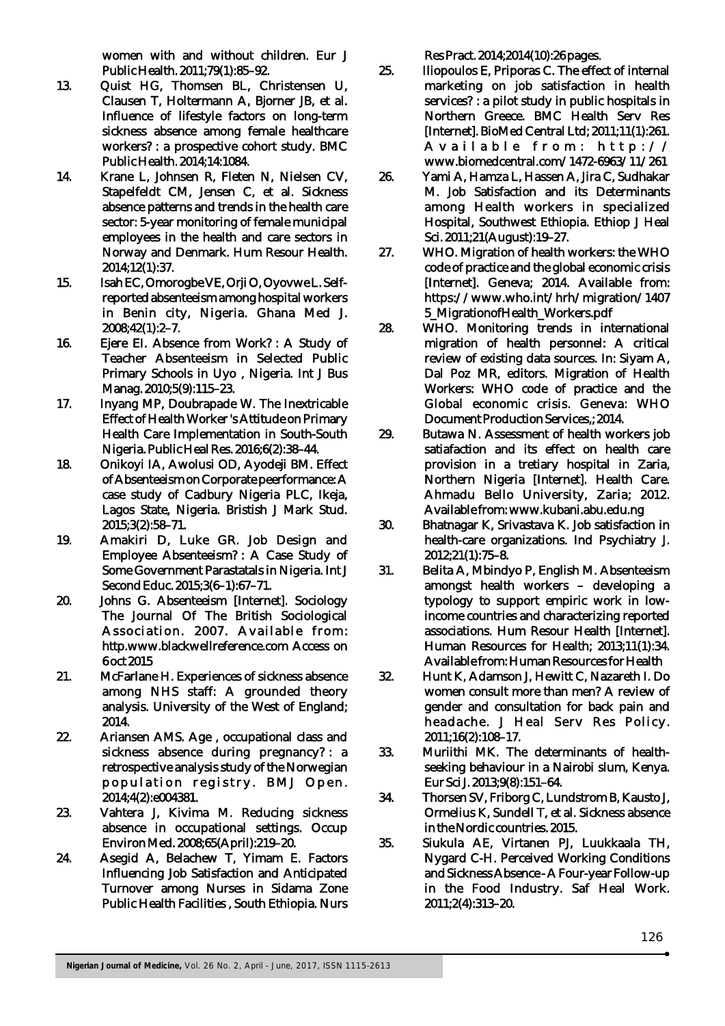women with and without children. Eur J Public Health. 2011;79(1):85–92.

- 13. Quist HG, Thomsen BL, Christensen U, Clausen T, Holtermann A, Bjorner JB, et al. Influence of lifestyle factors on long-term sickness absence among female healthcare workers? : a prospective cohort study. BMC Public Health. 2014;14:1084.
- 14. Krane L, Johnsen R, Fleten N, Nielsen CV, Stapelfeldt CM, Jensen C, et al. Sickness absence patterns and trends in the health care sector: 5-year monitoring of female municipal employees in the health and care sectors in Norway and Denmark. Hum Resour Health. 2014;12(1):37.
- 15. Isah EC, Omorogbe VE, Orji O, Oyovwe L. Selfreported absenteeism among hospital workers in Benin city, Nigeria. Ghana Med J. 2008;42(1):2–7.
- 16. Ejere EI. Absence from Work? : A Study of Teacher Absenteeism in Selected Public Primary Schools in Uyo , Nigeria. Int J Bus Manag. 2010;5(9):115–23.
- 17. Inyang MP, Doubrapade W. The Inextricable Effect of Health Worker 's Attitude on Primary Health Care Implementation in South-South Nigeria. Public Heal Res. 2016;6(2):38–44.
- 18. Onikoyi IA, Awolusi OD, Ayodeji BM. Effect of Absenteeism on Corporate peerformance: A case study of Cadbury Nigeria PLC, Ikeja, Lagos State, Nigeria. Bristish J Mark Stud. 2015;3(2):58–71.
- 19. Amakiri D, Luke GR. Job Design and Employee Absenteeism? : A Case Study of Some Government Parastatals in Nigeria. Int J Second Educ. 2015;3(6–1):67–71.
- 20. Johns G. Absenteeism [Internet]. Sociology The Journal Of The British Sociological Association. 2007. Available from: http.www.blackwellreference.com Access on 6 oct 2015
- 21. McFarlane H. Experiences of sickness absence among NHS staff: A grounded theory analysis. University of the West of England; 2014.
- 22. Ariansen AMS. Age , occupational class and sickness absence during pregnancy? : a retrospective analysis study of the Norwegian population registry. BMJ Open. 2014;4(2):e004381.
- 23. Vahtera J, Kivima M. Reducing sickness absence in occupational settings. Occup Environ Med. 2008;65(April):219–20.
- 24. Asegid A, Belachew T, Yimam E. Factors Influencing Job Satisfaction and Anticipated Turnover among Nurses in Sidama Zone Public Health Facilities , South Ethiopia. Nurs

Res Pract. 2014;2014(10):26 pages.

- 25. Iliopoulos E, Priporas C. The effect of internal marketing on job satisfaction in health services? : a pilot study in public hospitals in Northern Greece. BMC Health Serv Res [Internet]. BioMed Central Ltd; 2011;11(1):261. A v a i l a b l e f r o m : h t t p :  $\sqrt{}$ www.biomedcentral.com/1472-6963/11/261
- 26. Yami A, Hamza L, Hassen A, Jira C, Sudhakar M. Job Satisfaction and its Determinants among Health workers in specialized Hospital, Southwest Ethiopia. Ethiop J Heal Sci. 2011;21(August):19–27.
- 27. WHO. Migration of health workers: the WHO code of practice and the global economic crisis [Internet]. Geneva; 2014. Available from: https://www.who.int/hrh/migration/1407 5\_MigrationofHealth\_Workers.pdf
- 28. WHO. Monitoring trends in international migration of health personnel: A critical review of existing data sources. In: Siyam A, Dal Poz MR, editors. Migration of Health Workers: WHO code of practice and the Global economic crisis. Geneva: WHO Document Production Services,; 2014.
- 29. Butawa N. Assessment of health workers job satiafaction and its effect on health care provision in a tretiary hospital in Zaria, Northern Nigeria [Internet]. Health Care. Ahmadu Bello University, Zaria; 2012. Available from: www.kubani.abu.edu.ng
- 30. Bhatnagar K, Srivastava K. Job satisfaction in health-care organizations. Ind Psychiatry J. 2012;21(1):75–8.
- 31. Belita A, Mbindyo P, English M. Absenteeism amongst health workers – developing a typology to support empiric work in lowincome countries and characterizing reported associations. Hum Resour Health [Internet]. Human Resources for Health; 2013;11(1):34. Available from: Human Resources for Health
- 32. Hunt K, Adamson J, Hewitt C, Nazareth I. Do women consult more than men? A review of gender and consultation for back pain and headache. J Heal Serv Res Policy. 2011;16(2):108–17.
- 33. Muriithi MK. The determinants of healthseeking behaviour in a Nairobi slum, Kenya. Eur Sci J. 2013;9(8):151–64.
- 34. Thorsen SV, Friborg C, Lundstrom B, Kausto J, Ormelius K, Sundell T, et al. Sickness absence in the Nordic countries. 2015.
- 35. Siukula AE, Virtanen PJ, Luukkaala TH, Nygard C-H. Perceived Working Conditions and Sickness Absence - A Four-year Follow-up in the Food Industry. Saf Heal Work. 2011;2(4):313–20.